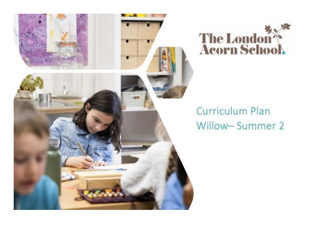



## **Curriculum Plan** Willow-Summer 2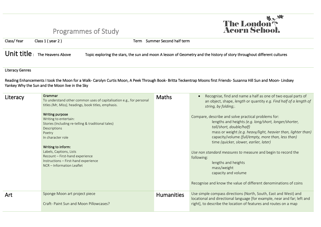## Programmes of Study



| Class/Year                                                                                                                                                                                                              | Class 1 (year 2)                                                                                                                                                                                                                                                                                                                                                                                                                                 | Term Summer Second half term |                                                                                                                                                                                                                                                                                                                                                                                                                                                                                                                                                                                                                                                                                        |  |  |  |  |  |
|-------------------------------------------------------------------------------------------------------------------------------------------------------------------------------------------------------------------------|--------------------------------------------------------------------------------------------------------------------------------------------------------------------------------------------------------------------------------------------------------------------------------------------------------------------------------------------------------------------------------------------------------------------------------------------------|------------------------------|----------------------------------------------------------------------------------------------------------------------------------------------------------------------------------------------------------------------------------------------------------------------------------------------------------------------------------------------------------------------------------------------------------------------------------------------------------------------------------------------------------------------------------------------------------------------------------------------------------------------------------------------------------------------------------------|--|--|--|--|--|
| Unit title: The Heavens Above<br>Topic exploring the stars, the sun and moon A lesson of Geometry and the history of story throughout different cultures                                                                |                                                                                                                                                                                                                                                                                                                                                                                                                                                  |                              |                                                                                                                                                                                                                                                                                                                                                                                                                                                                                                                                                                                                                                                                                        |  |  |  |  |  |
| <b>Literacy Genres</b>                                                                                                                                                                                                  |                                                                                                                                                                                                                                                                                                                                                                                                                                                  |                              |                                                                                                                                                                                                                                                                                                                                                                                                                                                                                                                                                                                                                                                                                        |  |  |  |  |  |
| Reading Enhancements I took the Moon for a Walk- Carolyn Curtis Moon, A Peek Through Book- Britta Teckentrap Moons first Friends- Susanna Hill Sun and Moon- Lindsey<br>Yankey Why the Sun and the Moon live in the Sky |                                                                                                                                                                                                                                                                                                                                                                                                                                                  |                              |                                                                                                                                                                                                                                                                                                                                                                                                                                                                                                                                                                                                                                                                                        |  |  |  |  |  |
| Literacy                                                                                                                                                                                                                | Grammar<br>To understand other common uses of capitalisation e.g., for personal<br>titles (Mr, Miss), headings, book titles, emphasis.<br>Writing purpose<br>Writing to entertain:<br>Stories (Including re-telling & traditional tales)<br>Descriptions<br>Poetry<br>In character role<br>Writing to inform:<br>Labels, Captions, Lists<br>Recount - First-hand experience<br>Instructions - First-hand experience<br>NCR - Information Leaflet | <b>Maths</b>                 | Recognise, find and name a half as one of two equal parts of<br>an object, shape, length or quantity e.g. Find half of a length of<br>string, by folding;.<br>Compare, describe and solve practical problems for:<br>lengths and heights (e.g. long/short, longer/shorter,<br>tall/short, double/half)<br>mass or weight (e.g. heavy/light, heavier than, lighter than)<br>capacity/volume (full/empty, more than, less than)<br>time (quicker, slower, earlier, later)<br>Use non standard measures to measure and begin to record the<br>following:<br>lengths and heights<br>mass/weight<br>capacity and volume<br>Recognise and know the value of different denominations of coins |  |  |  |  |  |
| Art                                                                                                                                                                                                                     | Sponge Moon art project piece<br>Craft- Paint Sun and Moon Pillowcases?                                                                                                                                                                                                                                                                                                                                                                          | <b>Humanities</b>            | Use simple compass directions (North, South, East and West) and<br>locational and directional language [for example, near and far; left and<br>right], to describe the location of features and routes on a map                                                                                                                                                                                                                                                                                                                                                                                                                                                                        |  |  |  |  |  |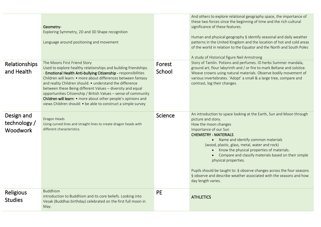|                                        | Geometry-<br>Exploring Symmetry, 2D and 3D Shape recognition<br>Language around positioning and movement                                                                                                                                                                                                                                                                                                                                                                                                                                                           |                  | And others to explore relational geography space, the importance of<br>these two forces since the beginning of time and the rich cultural<br>significance of these features.<br>Human and physical geography § identify seasonal and daily weather<br>patterns in the United Kingdom and the location of hot and cold areas<br>of the world in relation to the Equator and the North and South Poles<br>A study of Historical figure Neil Armstrong                                                                                                                                 |
|----------------------------------------|--------------------------------------------------------------------------------------------------------------------------------------------------------------------------------------------------------------------------------------------------------------------------------------------------------------------------------------------------------------------------------------------------------------------------------------------------------------------------------------------------------------------------------------------------------------------|------------------|-------------------------------------------------------------------------------------------------------------------------------------------------------------------------------------------------------------------------------------------------------------------------------------------------------------------------------------------------------------------------------------------------------------------------------------------------------------------------------------------------------------------------------------------------------------------------------------|
| Relationships<br>and Health            | The Moons First Friend Story<br>Used to explore healthy relationships and building friendships.<br>- Emotional Health Anti-bullying Citizenship - responsibilities<br>Children will learn: • more about differences between fantasy<br>and reality Children should: • understand the difference<br>between these Being different Values - diversity and equal<br>opportunities Citizenship / British Values - sense of community<br>Children will learn: • more about other people's opinions and<br>views Children should: • be able to construct a simple survey | Forest<br>School | Story of Tamlin. Potions and perfumes. ID herbs Summer mandala,<br>ground art, flour labyrinth and / or fire to mark Beltane and solstice.<br>Weave crowns using natural materials. Observe bodily movement of<br>various invertebrates. 'Adopt' a small & a large tree, compare and<br>contrast, log their changes.                                                                                                                                                                                                                                                                |
| Design and<br>technology /<br>Woodwork | Dragon Heads<br>Using curved lines and straight lines to create dragon heads with<br>different characteristics.                                                                                                                                                                                                                                                                                                                                                                                                                                                    | Science          | An introduction to space looking at the Earth, Sun and Moon through<br>picture and story.<br>How the moon changes<br>Importance of our Sun<br><b>CHEMISTRY - MATERIALS</b><br>• Name and identify common materials<br>(wood, plastic, glass, metal, water and rock)<br>Know the physical properties of materials.<br>$\bullet$<br>Compare and classify materials based on their simple<br>physical properties.<br>Pupils should be taught to: § observe changes across the four seasons<br>§ observe and describe weather associated with the seasons and how<br>day length varies. |
| <b>Religious</b><br><b>Studies</b>     | <b>Buddhism</b><br>introduction to Buddhism and its core beliefs. Looking into<br>Vesak (Buddhas birthday) celebrated on the first full moon in<br>May.                                                                                                                                                                                                                                                                                                                                                                                                            | <b>PE</b>        | <b>ATHLETICS</b>                                                                                                                                                                                                                                                                                                                                                                                                                                                                                                                                                                    |